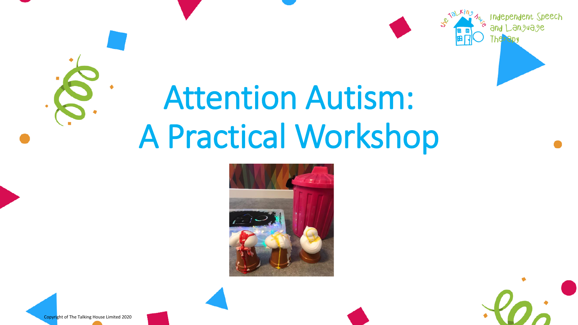





nendent Speech

Copyright of The Talking House Limited 2020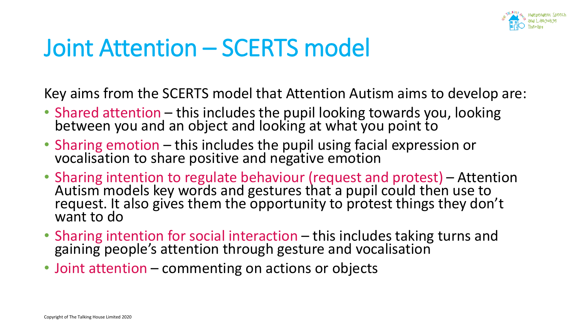

### Joint Attention – SCERTS model

Key aims from the SCERTS model that Attention Autism aims to develop are:

- Shared attention this includes the pupil looking towards you, looking between you and an object and looking at what you point to
- Sharing emotion this includes the pupil using facial expression or vocalisation to share positive and negative emotion
- Sharing intention to regulate behaviour (request and protest) Attention Autism models key words and gestures that a pupil could then use to request. It also gives them the opportunity to protest things they don't want to do
- Sharing intention for social interaction this includes taking turns and gaining people's attention through gesture and vocalisation
- Joint attention commenting on actions or objects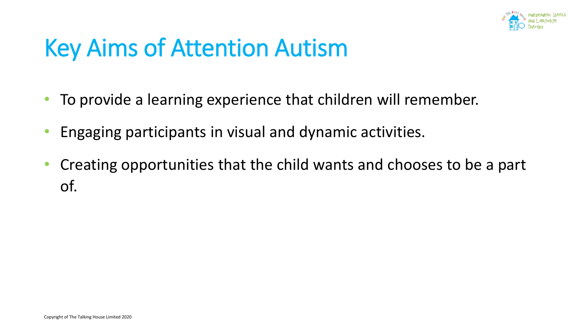

#### Key Aims of Attention Autism

- To provide a learning experience that children will remember.
- Engaging participants in visual and dynamic activities.
- Creating opportunities that the child wants and chooses to be a part of.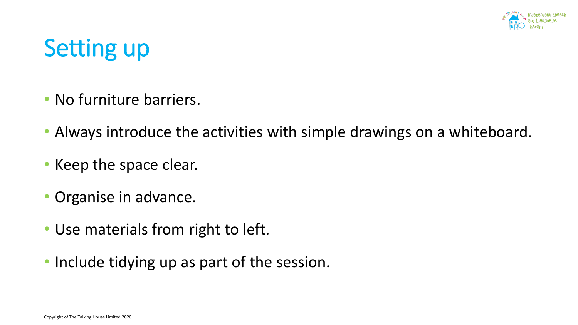

# Setting up

- No furniture barriers.
- Always introduce the activities with simple drawings on a whiteboard.
- Keep the space clear.
- Organise in advance.
- Use materials from right to left.
- Include tidying up as part of the session.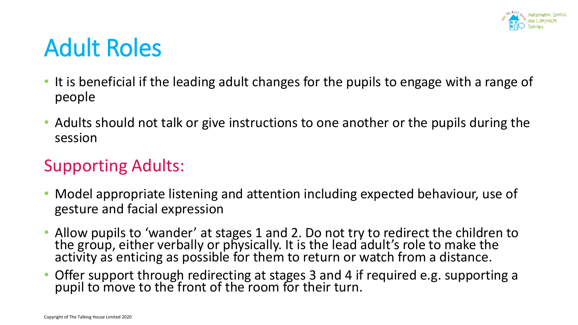

#### Adult Roles

- It is beneficial if the leading adult changes for the pupils to engage with a range of people
- Adults should not talk or give instructions to one another or the pupils during the session

#### Supporting Adults:

- Model appropriate listening and attention including expected behaviour, use of gesture and facial expression
- Allow pupils to 'wander' at stages 1 and 2. Do not try to redirect the children to the group, either verbally or physically. It is the lead adult's role to make the activity as enticing as possible for them to return or watch from a distance.
- Offer support through redirecting at stages 3 and 4 if required e.g. supporting a pupil to move to the front of the room for their turn.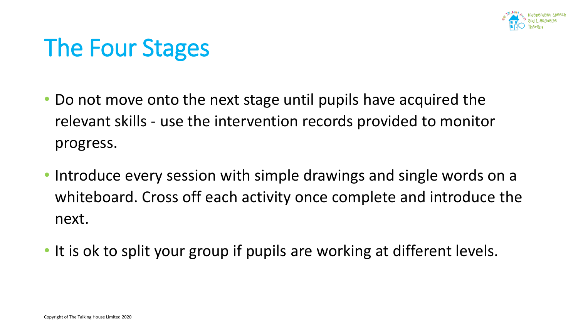

#### The Four Stages

- Do not move onto the next stage until pupils have acquired the relevant skills - use the intervention records provided to monitor progress.
- Introduce every session with simple drawings and single words on a whiteboard. Cross off each activity once complete and introduce the next.
- It is ok to split your group if pupils are working at different levels.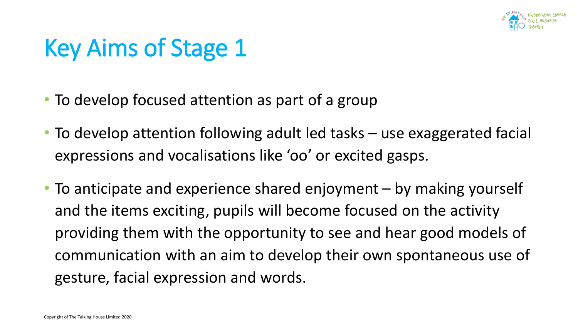

- To develop focused attention as part of a group
- To develop attention following adult led tasks use exaggerated facial expressions and vocalisations like 'oo' or excited gasps.
- To anticipate and experience shared enjoyment by making yourself and the items exciting, pupils will become focused on the activity providing them with the opportunity to see and hear good models of communication with an aim to develop their own spontaneous use of gesture, facial expression and words.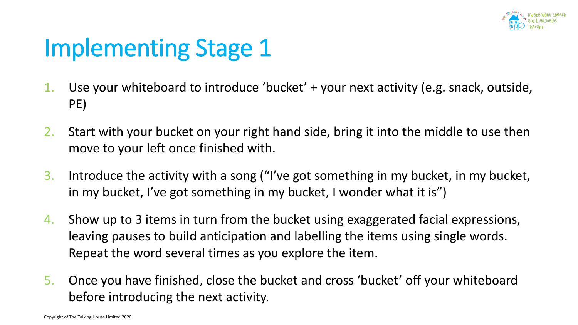

- 1. Use your whiteboard to introduce 'bucket' + your next activity (e.g. snack, outside, PE)
- 2. Start with your bucket on your right hand side, bring it into the middle to use then move to your left once finished with.
- 3. Introduce the activity with a song ("I've got something in my bucket, in my bucket, in my bucket, I've got something in my bucket, I wonder what it is")
- 4. Show up to 3 items in turn from the bucket using exaggerated facial expressions, leaving pauses to build anticipation and labelling the items using single words. Repeat the word several times as you explore the item.
- 5. Once you have finished, close the bucket and cross 'bucket' off your whiteboard before introducing the next activity.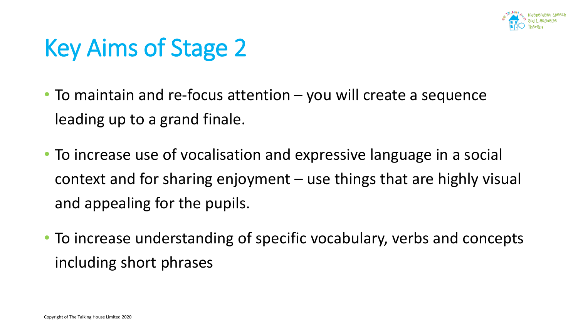

- To maintain and re-focus attention you will create a sequence leading up to a grand finale.
- To increase use of vocalisation and expressive language in a social context and for sharing enjoyment – use things that are highly visual and appealing for the pupils.
- To increase understanding of specific vocabulary, verbs and concepts including short phrases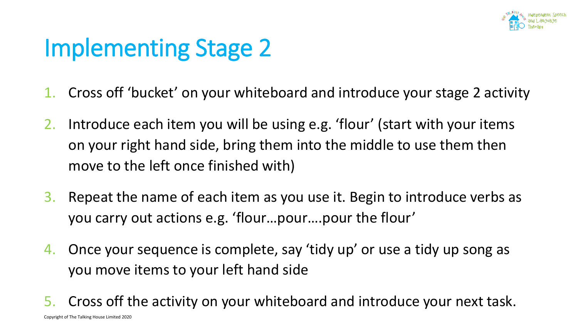

- 1. Cross off 'bucket' on your whiteboard and introduce your stage 2 activity
- 2. Introduce each item you will be using e.g. 'flour' (start with your items on your right hand side, bring them into the middle to use them then move to the left once finished with)
- 3. Repeat the name of each item as you use it. Begin to introduce verbs as you carry out actions e.g. 'flour…pour….pour the flour'
- 4. Once your sequence is complete, say 'tidy up' or use a tidy up song as you move items to your left hand side
- 5. Cross off the activity on your whiteboard and introduce your next task.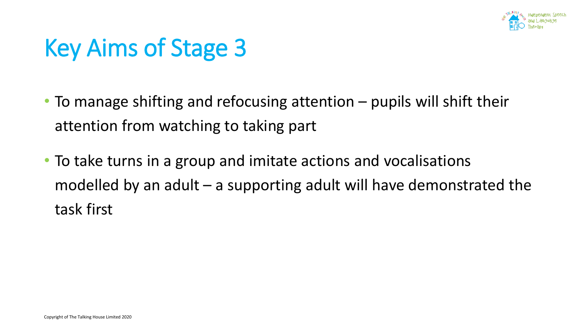

- To manage shifting and refocusing attention pupils will shift their attention from watching to taking part
- To take turns in a group and imitate actions and vocalisations modelled by an adult – a supporting adult will have demonstrated the task first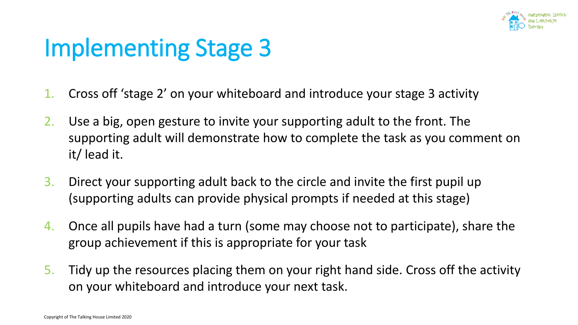

- 1. Cross off 'stage 2' on your whiteboard and introduce your stage 3 activity
- 2. Use a big, open gesture to invite your supporting adult to the front. The supporting adult will demonstrate how to complete the task as you comment on it/ lead it.
- 3. Direct your supporting adult back to the circle and invite the first pupil up (supporting adults can provide physical prompts if needed at this stage)
- 4. Once all pupils have had a turn (some may choose not to participate), share the group achievement if this is appropriate for your task
- 5. Tidy up the resources placing them on your right hand side. Cross off the activity on your whiteboard and introduce your next task.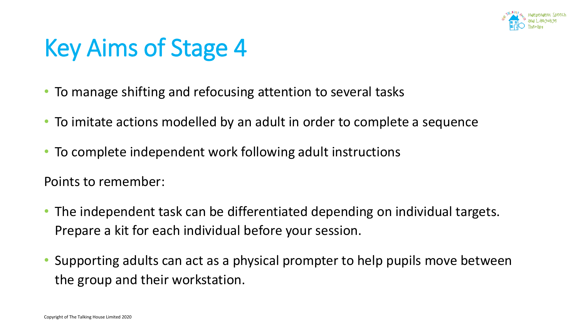

- To manage shifting and refocusing attention to several tasks
- To imitate actions modelled by an adult in order to complete a sequence
- To complete independent work following adult instructions

Points to remember:

- The independent task can be differentiated depending on individual targets. Prepare a kit for each individual before your session.
- Supporting adults can act as a physical prompter to help pupils move between the group and their workstation.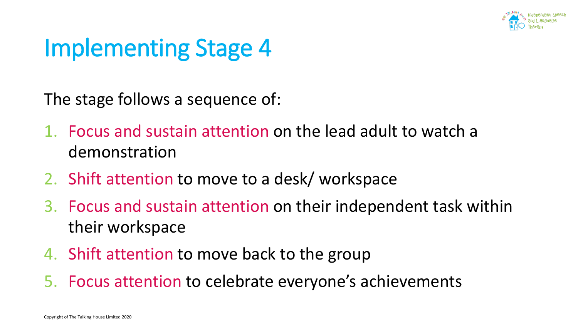

The stage follows a sequence of:

- 1. Focus and sustain attention on the lead adult to watch a demonstration
- 2. Shift attention to move to a desk/ workspace
- 3. Focus and sustain attention on their independent task within their workspace
- 4. Shift attention to move back to the group
- 5. Focus attention to celebrate everyone's achievements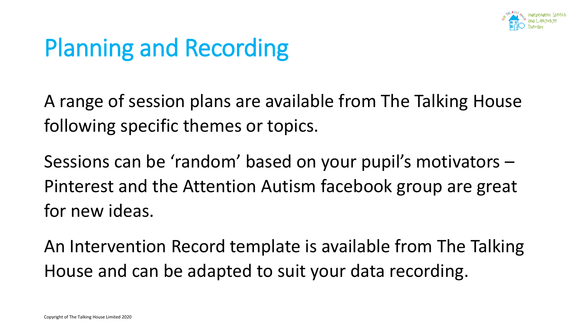

## Planning and Recording

A range of session plans are available from The Talking House following specific themes or topics.

Sessions can be 'random' based on your pupil's motivators – Pinterest and the Attention Autism facebook group are great for new ideas.

An Intervention Record template is available from The Talking House and can be adapted to suit your data recording.